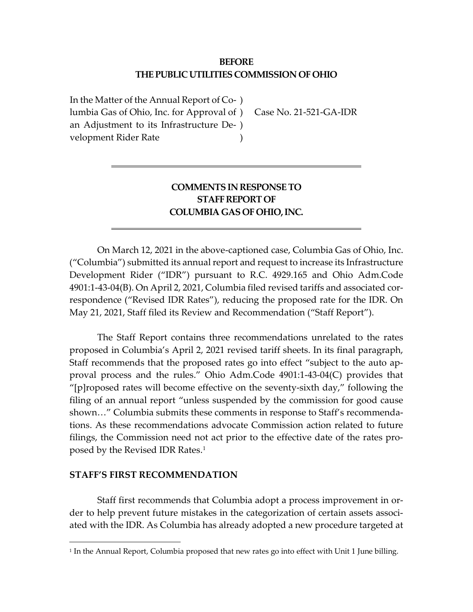## **BEFORE THE PUBLIC UTILITIES COMMISSION OF OHIO**

In the Matter of the Annual Report of Co-) lumbia Gas of Ohio, Inc. for Approval of ) an Adjustment to its Infrastructure De-) velopment Rider Rate )

Case No. 21-521-GA-IDR

# **COMMENTS IN RESPONSE TO STAFF REPORT OF COLUMBIA GAS OF OHIO, INC.**

On March 12, 2021 in the above-captioned case, Columbia Gas of Ohio, Inc. ("Columbia") submitted its annual report and request to increase its Infrastructure Development Rider ("IDR") pursuant to R.C. 4929.165 and Ohio Adm.Code 4901:1-43-04(B). On April 2, 2021, Columbia filed revised tariffs and associated correspondence ("Revised IDR Rates"), reducing the proposed rate for the IDR. On May 21, 2021, Staff filed its Review and Recommendation ("Staff Report").

The Staff Report contains three recommendations unrelated to the rates proposed in Columbia's April 2, 2021 revised tariff sheets. In its final paragraph, Staff recommends that the proposed rates go into effect "subject to the auto approval process and the rules." Ohio Adm.Code 4901:1-43-04(C) provides that "[p]roposed rates will become effective on the seventy-sixth day," following the filing of an annual report "unless suspended by the commission for good cause shown…" Columbia submits these comments in response to Staff's recommendations. As these recommendations advocate Commission action related to future filings, the Commission need not act prior to the effective date of the rates proposed by the Revised IDR Rates.[1](#page-0-0)

## **STAFF'S FIRST RECOMMENDATION**

 $\overline{a}$ 

Staff first recommends that Columbia adopt a process improvement in order to help prevent future mistakes in the categorization of certain assets associated with the IDR. As Columbia has already adopted a new procedure targeted at

<span id="page-0-0"></span><sup>&</sup>lt;sup>1</sup> In the Annual Report, Columbia proposed that new rates go into effect with Unit 1 June billing.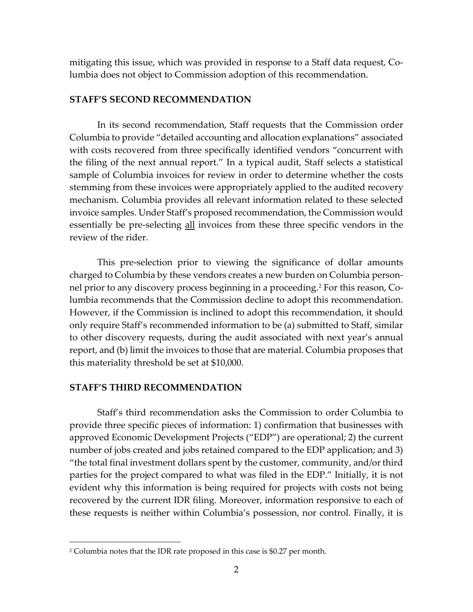mitigating this issue, which was provided in response to a Staff data request, Columbia does not object to Commission adoption of this recommendation.

### **STAFF'S SECOND RECOMMENDATION**

In its second recommendation, Staff requests that the Commission order Columbia to provide "detailed accounting and allocation explanations" associated with costs recovered from three specifically identified vendors "concurrent with the filing of the next annual report." In a typical audit, Staff selects a statistical sample of Columbia invoices for review in order to determine whether the costs stemming from these invoices were appropriately applied to the audited recovery mechanism. Columbia provides all relevant information related to these selected invoice samples. Under Staff's proposed recommendation, the Commission would essentially be pre-selecting all invoices from these three specific vendors in the review of the rider.

This pre-selection prior to viewing the significance of dollar amounts charged to Columbia by these vendors creates a new burden on Columbia personnel prior to any discovery process beginning in a proceeding. [2](#page-1-0) For this reason, Columbia recommends that the Commission decline to adopt this recommendation. However, if the Commission is inclined to adopt this recommendation, it should only require Staff's recommended information to be (a) submitted to Staff, similar to other discovery requests, during the audit associated with next year's annual report, and (b) limit the invoices to those that are material. Columbia proposes that this materiality threshold be set at \$10,000.

#### **STAFF'S THIRD RECOMMENDATION**

 $\overline{a}$ 

Staff's third recommendation asks the Commission to order Columbia to provide three specific pieces of information: 1) confirmation that businesses with approved Economic Development Projects ("EDP") are operational; 2) the current number of jobs created and jobs retained compared to the EDP application; and 3) "the total final investment dollars spent by the customer, community, and/or third parties for the project compared to what was filed in the EDP." Initially, it is not evident why this information is being required for projects with costs not being recovered by the current IDR filing. Moreover, information responsive to each of these requests is neither within Columbia's possession, nor control. Finally, it is

<span id="page-1-0"></span><sup>2</sup> Columbia notes that the IDR rate proposed in this case is \$0.27 per month.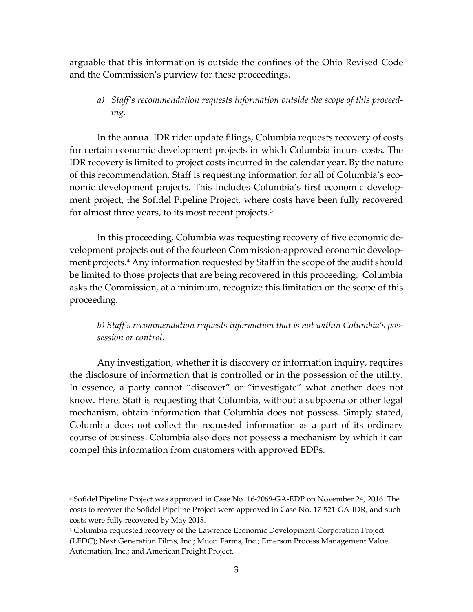arguable that this information is outside the confines of the Ohio Revised Code and the Commission's purview for these proceedings.

*a) Staff's recommendation requests information outside the scope of this proceeding.*

In the annual IDR rider update filings, Columbia requests recovery of costs for certain economic development projects in which Columbia incurs costs. The IDR recovery is limited to project costs incurred in the calendar year. By the nature of this recommendation, Staff is requesting information for all of Columbia's economic development projects. This includes Columbia's first economic development project, the Sofidel Pipeline Project, where costs have been fully recovered for almost three years, to its most recent projects.<sup>[3](#page-2-1)</sup>

In this proceeding, Columbia was requesting recovery of five economic development projects out of the fourteen Commission-approved economic development projects. [4](#page-2-0) Any information requested by Staff in the scope of the audit should be limited to those projects that are being recovered in this proceeding. Columbia asks the Commission, at a minimum, recognize this limitation on the scope of this proceeding.

*b) Staff's recommendation requests information that is not within Columbia's possession or control.*

Any investigation, whether it is discovery or information inquiry, requires the disclosure of information that is controlled or in the possession of the utility. In essence, a party cannot "discover" or "investigate" what another does not know. Here, Staff is requesting that Columbia, without a subpoena or other legal mechanism, obtain information that Columbia does not possess. Simply stated, Columbia does not collect the requested information as a part of its ordinary course of business. Columbia also does not possess a mechanism by which it can compel this information from customers with approved EDPs.

 $\overline{a}$ 

<span id="page-2-1"></span><sup>3</sup> Sofidel Pipeline Project was approved in Case No. 16-2069-GA-EDP on November 24, 2016. The costs to recover the Sofidel Pipeline Project were approved in Case No. 17-521-GA-IDR, and such costs were fully recovered by May 2018.

<span id="page-2-0"></span><sup>4</sup> Columbia requested recovery of the Lawrence Economic Development Corporation Project (LEDC); Next Generation Films, Inc.; Mucci Farms, Inc.; Emerson Process Management Value Automation, Inc.; and American Freight Project.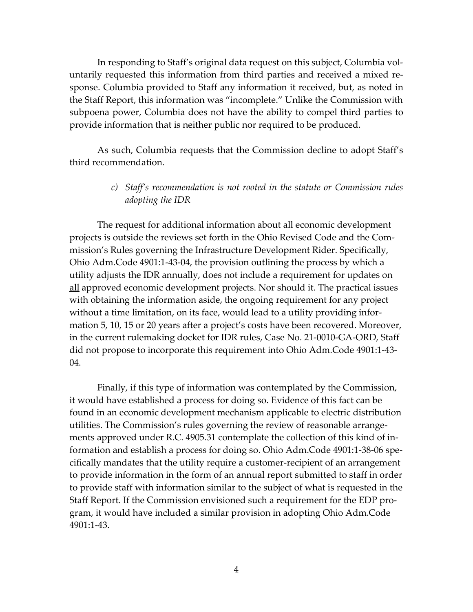In responding to Staff's original data request on this subject, Columbia voluntarily requested this information from third parties and received a mixed response. Columbia provided to Staff any information it received, but, as noted in the Staff Report, this information was "incomplete." Unlike the Commission with subpoena power, Columbia does not have the ability to compel third parties to provide information that is neither public nor required to be produced.

As such, Columbia requests that the Commission decline to adopt Staff's third recommendation.

# *c) Staff's recommendation is not rooted in the statute or Commission rules adopting the IDR*

The request for additional information about all economic development projects is outside the reviews set forth in the Ohio Revised Code and the Commission's Rules governing the Infrastructure Development Rider. Specifically, Ohio Adm.Code 4901:1-43-04, the provision outlining the process by which a utility adjusts the IDR annually, does not include a requirement for updates on all approved economic development projects. Nor should it. The practical issues with obtaining the information aside, the ongoing requirement for any project without a time limitation, on its face, would lead to a utility providing information 5, 10, 15 or 20 years after a project's costs have been recovered. Moreover, in the current rulemaking docket for IDR rules, Case No. 21-0010-GA-ORD, Staff did not propose to incorporate this requirement into Ohio Adm.Code 4901:1-43- 04.

Finally, if this type of information was contemplated by the Commission, it would have established a process for doing so. Evidence of this fact can be found in an economic development mechanism applicable to electric distribution utilities. The Commission's rules governing the review of reasonable arrangements approved under R.C. 4905.31 contemplate the collection of this kind of information and establish a process for doing so. Ohio Adm.Code 4901:1-38-06 specifically mandates that the utility require a customer-recipient of an arrangement to provide information in the form of an annual report submitted to staff in order to provide staff with information similar to the subject of what is requested in the Staff Report. If the Commission envisioned such a requirement for the EDP program, it would have included a similar provision in adopting Ohio Adm.Code 4901:1-43.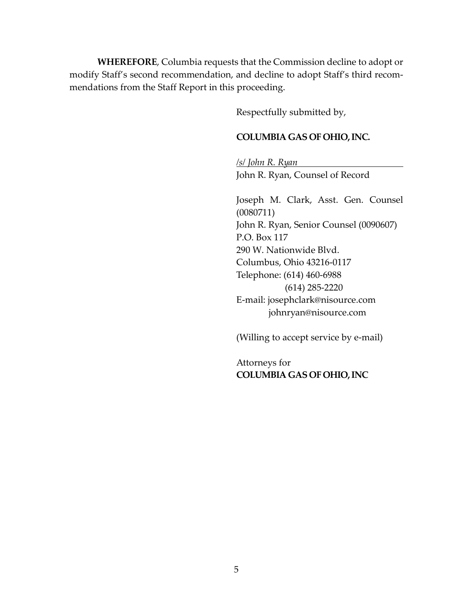**WHEREFORE**, Columbia requests that the Commission decline to adopt or modify Staff's second recommendation, and decline to adopt Staff's third recommendations from the Staff Report in this proceeding.

Respectfully submitted by,

#### **COLUMBIA GAS OF OHIO, INC.**

*/s/ John R. Ryan* John R. Ryan, Counsel of Record

Joseph M. Clark, Asst. Gen. Counsel (0080711) John R. Ryan, Senior Counsel (0090607) P.O. Box 117 290 W. Nationwide Blvd. Columbus, Ohio 43216-0117 Telephone: (614) 460-6988 (614) 285-2220 E-mail: josephclark@nisource.com johnryan@nisource.com

(Willing to accept service by e-mail)

Attorneys for **COLUMBIA GAS OF OHIO, INC**